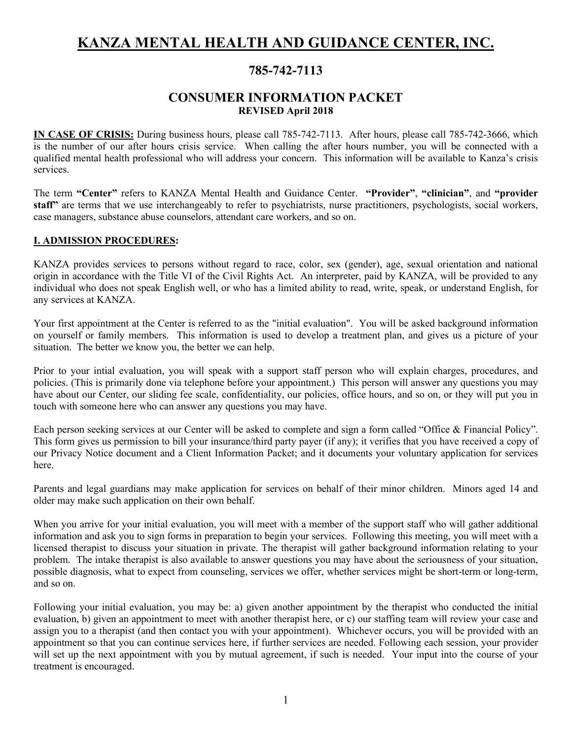# **KANZA MENTAL HEALTH AND GUIDANCE CENTER, INC.**

## **785-742-7113**

## **CONSUMER INFORMATION PACKET REVISED April 2018**

**IN CASE OF CRISIS:** During business hours, please call 785-742-7113. After hours, please call 785-742-3666, which is the number of our after hours crisis service. When calling the after hours number, you will be connected with a qualified mental health professional who will address your concern. This information will be available to Kanza's crisis services.

The term **"Center"** refers to KANZA Mental Health and Guidance Center. **"Provider"**, **"clinician"**, and **"provider staff"** are terms that we use interchangeably to refer to psychiatrists, nurse practitioners, psychologists, social workers, case managers, substance abuse counselors, attendant care workers, and so on.

#### **I. ADMISSION PROCEDURES:**

KANZA provides services to persons without regard to race, color, sex (gender), age, sexual orientation and national origin in accordance with the Title VI of the Civil Rights Act. An interpreter, paid by KANZA, will be provided to any individual who does not speak English well, or who has a limited ability to read, write, speak, or understand English, for any services at KANZA.

Your first appointment at the Center is referred to as the "initial evaluation". You will be asked background information on yourself or family members. This information is used to develop a treatment plan, and gives us a picture of your situation. The better we know you, the better we can help.

Prior to your intial evaluation, you will speak with a support staff person who will explain charges, procedures, and policies. (This is primarily done via telephone before your appointment.) This person will answer any questions you may have about our Center, our sliding fee scale, confidentiality, our policies, office hours, and so on, or they will put you in touch with someone here who can answer any questions you may have.

Each person seeking services at our Center will be asked to complete and sign a form called "Office & Financial Policy". This form gives us permission to bill your insurance/third party payer (if any); it verifies that you have received a copy of our Privacy Notice document and a Client Information Packet; and it documents your voluntary application for services here.

Parents and legal guardians may make application for services on behalf of their minor children. Minors aged 14 and older may make such application on their own behalf.

When you arrive for your initial evaluation, you will meet with a member of the support staff who will gather additional information and ask you to sign forms in preparation to begin your services. Following this meeting, you will meet with a licensed therapist to discuss your situation in private. The therapist will gather background information relating to your problem. The intake therapist is also available to answer questions you may have about the seriousness of your situation, possible diagnosis, what to expect from counseling, services we offer, whether services might be short-term or long-term, and so on.

Following your initial evaluation, you may be: a) given another appointment by the therapist who conducted the initial evaluation, b) given an appointment to meet with another therapist here, or c) our staffing team will review your case and assign you to a therapist (and then contact you with your appointment). Whichever occurs, you will be provided with an appointment so that you can continue services here, if further services are needed. Following each session, your provider will set up the next appointment with you by mutual agreement, if such is needed. Your input into the course of your treatment is encouraged.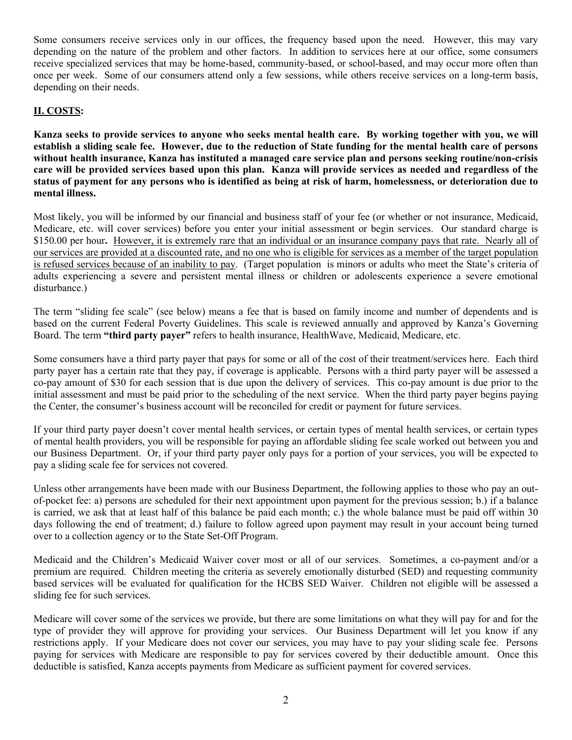Some consumers receive services only in our offices, the frequency based upon the need. However, this may vary depending on the nature of the problem and other factors. In addition to services here at our office, some consumers receive specialized services that may be home-based, community-based, or school-based, and may occur more often than once per week. Some of our consumers attend only a few sessions, while others receive services on a long-term basis, depending on their needs.

## **II. COSTS:**

**Kanza seeks to provide services to anyone who seeks mental health care. By working together with you, we will establish a sliding scale fee. However, due to the reduction of State funding for the mental health care of persons without health insurance, Kanza has instituted a managed care service plan and persons seeking routine/non-crisis care will be provided services based upon this plan. Kanza will provide services as needed and regardless of the status of payment for any persons who is identified as being at risk of harm, homelessness, or deterioration due to mental illness.** 

Most likely, you will be informed by our financial and business staff of your fee (or whether or not insurance, Medicaid, Medicare, etc. will cover services) before you enter your initial assessment or begin services. Our standard charge is \$150.00 per hour**.** However, it is extremely rare that an individual or an insurance company pays that rate. Nearly all of our services are provided at a discounted rate, and no one who is eligible for services as a member of the target population is refused services because of an inability to pay. (Target population is minors or adults who meet the State's criteria of adults experiencing a severe and persistent mental illness or children or adolescents experience a severe emotional disturbance.)

The term "sliding fee scale" (see below) means a fee that is based on family income and number of dependents and is based on the current Federal Poverty Guidelines. This scale is reviewed annually and approved by Kanza's Governing Board. The term **"third party payer"** refers to health insurance, HealthWave, Medicaid, Medicare, etc.

Some consumers have a third party payer that pays for some or all of the cost of their treatment/services here. Each third party payer has a certain rate that they pay, if coverage is applicable. Persons with a third party payer will be assessed a co-pay amount of \$30 for each session that is due upon the delivery of services. This co-pay amount is due prior to the initial assessment and must be paid prior to the scheduling of the next service. When the third party payer begins paying the Center, the consumer's business account will be reconciled for credit or payment for future services.

If your third party payer doesn't cover mental health services, or certain types of mental health services, or certain types of mental health providers, you will be responsible for paying an affordable sliding fee scale worked out between you and our Business Department. Or, if your third party payer only pays for a portion of your services, you will be expected to pay a sliding scale fee for services not covered.

Unless other arrangements have been made with our Business Department, the following applies to those who pay an outof-pocket fee: a) persons are scheduled for their next appointment upon payment for the previous session; b.) if a balance is carried, we ask that at least half of this balance be paid each month; c.) the whole balance must be paid off within 30 days following the end of treatment; d.) failure to follow agreed upon payment may result in your account being turned over to a collection agency or to the State Set-Off Program.

Medicaid and the Children's Medicaid Waiver cover most or all of our services. Sometimes, a co-payment and/or a premium are required. Children meeting the criteria as severely emotionally disturbed (SED) and requesting community based services will be evaluated for qualification for the HCBS SED Waiver. Children not eligible will be assessed a sliding fee for such services.

Medicare will cover some of the services we provide, but there are some limitations on what they will pay for and for the type of provider they will approve for providing your services. Our Business Department will let you know if any restrictions apply. If your Medicare does not cover our services, you may have to pay your sliding scale fee. Persons paying for services with Medicare are responsible to pay for services covered by their deductible amount. Once this deductible is satisfied, Kanza accepts payments from Medicare as sufficient payment for covered services.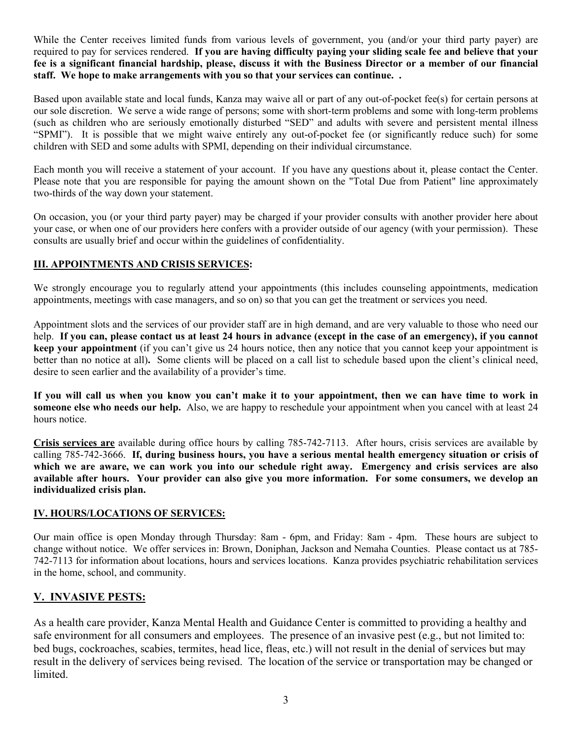While the Center receives limited funds from various levels of government, you (and/or your third party payer) are required to pay for services rendered. **If you are having difficulty paying your sliding scale fee and believe that your fee is a significant financial hardship, please, discuss it with the Business Director or a member of our financial staff. We hope to make arrangements with you so that your services can continue. .**

Based upon available state and local funds, Kanza may waive all or part of any out-of-pocket fee(s) for certain persons at our sole discretion. We serve a wide range of persons; some with short-term problems and some with long-term problems (such as children who are seriously emotionally disturbed "SED" and adults with severe and persistent mental illness "SPMI"). It is possible that we might waive entirely any out-of-pocket fee (or significantly reduce such) for some children with SED and some adults with SPMI, depending on their individual circumstance.

Each month you will receive a statement of your account. If you have any questions about it, please contact the Center. Please note that you are responsible for paying the amount shown on the "Total Due from Patient" line approximately two-thirds of the way down your statement.

On occasion, you (or your third party payer) may be charged if your provider consults with another provider here about your case, or when one of our providers here confers with a provider outside of our agency (with your permission). These consults are usually brief and occur within the guidelines of confidentiality.

## **III. APPOINTMENTS AND CRISIS SERVICES:**

We strongly encourage you to regularly attend your appointments (this includes counseling appointments, medication appointments, meetings with case managers, and so on) so that you can get the treatment or services you need.

Appointment slots and the services of our provider staff are in high demand, and are very valuable to those who need our help. **If you can, please contact us at least 24 hours in advance (except in the case of an emergency), if you cannot keep your appointment** (if you can't give us 24 hours notice, then any notice that you cannot keep your appointment is better than no notice at all)**.** Some clients will be placed on a call list to schedule based upon the client's clinical need, desire to seen earlier and the availability of a provider's time.

**If you will call us when you know you can't make it to your appointment, then we can have time to work in someone else who needs our help.** Also, we are happy to reschedule your appointment when you cancel with at least 24 hours notice.

**Crisis services are** available during office hours by calling 785-742-7113. After hours, crisis services are available by calling 785-742-3666. **If, during business hours, you have a serious mental health emergency situation or crisis of which we are aware, we can work you into our schedule right away. Emergency and crisis services are also available after hours. Your provider can also give you more information. For some consumers, we develop an individualized crisis plan.**

## **IV. HOURS/LOCATIONS OF SERVICES:**

Our main office is open Monday through Thursday: 8am - 6pm, and Friday: 8am - 4pm. These hours are subject to change without notice. We offer services in: Brown, Doniphan, Jackson and Nemaha Counties. Please contact us at 785- 742-7113 for information about locations, hours and services locations. Kanza provides psychiatric rehabilitation services in the home, school, and community.

## **V. INVASIVE PESTS:**

As a health care provider, Kanza Mental Health and Guidance Center is committed to providing a healthy and safe environment for all consumers and employees. The presence of an invasive pest (e.g., but not limited to: bed bugs, cockroaches, scabies, termites, head lice, fleas, etc.) will not result in the denial of services but may result in the delivery of services being revised. The location of the service or transportation may be changed or limited.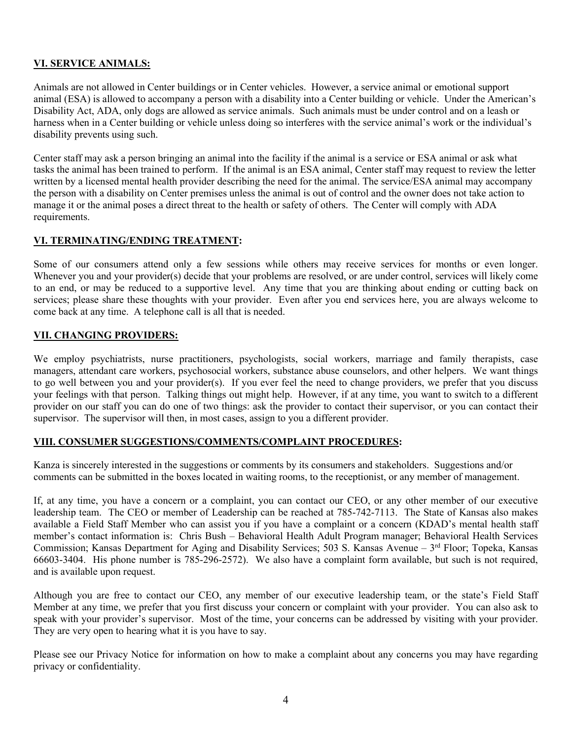#### **VI. SERVICE ANIMALS:**

Animals are not allowed in Center buildings or in Center vehicles. However, a service animal or emotional support animal (ESA) is allowed to accompany a person with a disability into a Center building or vehicle. Under the American's Disability Act, ADA, only dogs are allowed as service animals. Such animals must be under control and on a leash or harness when in a Center building or vehicle unless doing so interferes with the service animal's work or the individual's disability prevents using such.

Center staff may ask a person bringing an animal into the facility if the animal is a service or ESA animal or ask what tasks the animal has been trained to perform. If the animal is an ESA animal, Center staff may request to review the letter written by a licensed mental health provider describing the need for the animal. The service/ESA animal may accompany the person with a disability on Center premises unless the animal is out of control and the owner does not take action to manage it or the animal poses a direct threat to the health or safety of others. The Center will comply with ADA requirements.

#### **VI. TERMINATING/ENDING TREATMENT:**

Some of our consumers attend only a few sessions while others may receive services for months or even longer. Whenever you and your provider(s) decide that your problems are resolved, or are under control, services will likely come to an end, or may be reduced to a supportive level. Any time that you are thinking about ending or cutting back on services; please share these thoughts with your provider. Even after you end services here, you are always welcome to come back at any time. A telephone call is all that is needed.

#### **VII. CHANGING PROVIDERS:**

We employ psychiatrists, nurse practitioners, psychologists, social workers, marriage and family therapists, case managers, attendant care workers, psychosocial workers, substance abuse counselors, and other helpers. We want things to go well between you and your provider(s). If you ever feel the need to change providers, we prefer that you discuss your feelings with that person. Talking things out might help. However, if at any time, you want to switch to a different provider on our staff you can do one of two things: ask the provider to contact their supervisor, or you can contact their supervisor. The supervisor will then, in most cases, assign to you a different provider.

#### **VIII. CONSUMER SUGGESTIONS/COMMENTS/COMPLAINT PROCEDURES:**

Kanza is sincerely interested in the suggestions or comments by its consumers and stakeholders. Suggestions and/or comments can be submitted in the boxes located in waiting rooms, to the receptionist, or any member of management.

If, at any time, you have a concern or a complaint, you can contact our CEO, or any other member of our executive leadership team. The CEO or member of Leadership can be reached at 785-742-7113. The State of Kansas also makes available a Field Staff Member who can assist you if you have a complaint or a concern (KDAD's mental health staff member's contact information is: Chris Bush – Behavioral Health Adult Program manager; Behavioral Health Services Commission; Kansas Department for Aging and Disability Services; 503 S. Kansas Avenue – 3<sup>rd</sup> Floor; Topeka, Kansas 66603-3404. His phone number is 785-296-2572). We also have a complaint form available, but such is not required, and is available upon request.

Although you are free to contact our CEO, any member of our executive leadership team, or the state's Field Staff Member at any time, we prefer that you first discuss your concern or complaint with your provider. You can also ask to speak with your provider's supervisor. Most of the time, your concerns can be addressed by visiting with your provider. They are very open to hearing what it is you have to say.

Please see our Privacy Notice for information on how to make a complaint about any concerns you may have regarding privacy or confidentiality.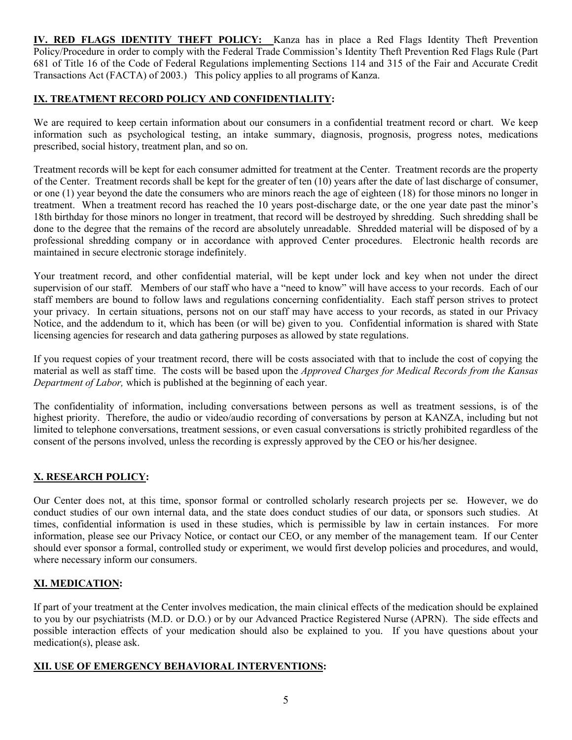**IV. RED FLAGS IDENTITY THEFT POLICY:** Kanza has in place a Red Flags Identity Theft Prevention Policy/Procedure in order to comply with the Federal Trade Commission's Identity Theft Prevention Red Flags Rule (Part 681 of Title 16 of the Code of Federal Regulations implementing Sections 114 and 315 of the Fair and Accurate Credit Transactions Act (FACTA) of 2003.) This policy applies to all programs of Kanza.

#### **IX. TREATMENT RECORD POLICY AND CONFIDENTIALITY:**

We are required to keep certain information about our consumers in a confidential treatment record or chart. We keep information such as psychological testing, an intake summary, diagnosis, prognosis, progress notes, medications prescribed, social history, treatment plan, and so on.

Treatment records will be kept for each consumer admitted for treatment at the Center. Treatment records are the property of the Center. Treatment records shall be kept for the greater of ten (10) years after the date of last discharge of consumer, or one (1) year beyond the date the consumers who are minors reach the age of eighteen (18) for those minors no longer in treatment. When a treatment record has reached the 10 years post-discharge date, or the one year date past the minor's 18th birthday for those minors no longer in treatment, that record will be destroyed by shredding. Such shredding shall be done to the degree that the remains of the record are absolutely unreadable. Shredded material will be disposed of by a professional shredding company or in accordance with approved Center procedures. Electronic health records are maintained in secure electronic storage indefinitely.

Your treatment record, and other confidential material, will be kept under lock and key when not under the direct supervision of our staff. Members of our staff who have a "need to know" will have access to your records. Each of our staff members are bound to follow laws and regulations concerning confidentiality. Each staff person strives to protect your privacy. In certain situations, persons not on our staff may have access to your records, as stated in our Privacy Notice, and the addendum to it, which has been (or will be) given to you. Confidential information is shared with State licensing agencies for research and data gathering purposes as allowed by state regulations.

If you request copies of your treatment record, there will be costs associated with that to include the cost of copying the material as well as staff time. The costs will be based upon the *Approved Charges for Medical Records from the Kansas Department of Labor,* which is published at the beginning of each year.

The confidentiality of information, including conversations between persons as well as treatment sessions, is of the highest priority. Therefore, the audio or video/audio recording of conversations by person at KANZA, including but not limited to telephone conversations, treatment sessions, or even casual conversations is strictly prohibited regardless of the consent of the persons involved, unless the recording is expressly approved by the CEO or his/her designee.

## **X. RESEARCH POLICY:**

Our Center does not, at this time, sponsor formal or controlled scholarly research projects per se. However, we do conduct studies of our own internal data, and the state does conduct studies of our data, or sponsors such studies. At times, confidential information is used in these studies, which is permissible by law in certain instances. For more information, please see our Privacy Notice, or contact our CEO, or any member of the management team. If our Center should ever sponsor a formal, controlled study or experiment, we would first develop policies and procedures, and would, where necessary inform our consumers.

## **XI. MEDICATION:**

If part of your treatment at the Center involves medication, the main clinical effects of the medication should be explained to you by our psychiatrists (M.D. or D.O*.*) or by our Advanced Practice Registered Nurse (APRN). The side effects and possible interaction effects of your medication should also be explained to you. If you have questions about your medication(s), please ask.

#### **XII. USE OF EMERGENCY BEHAVIORAL INTERVENTIONS:**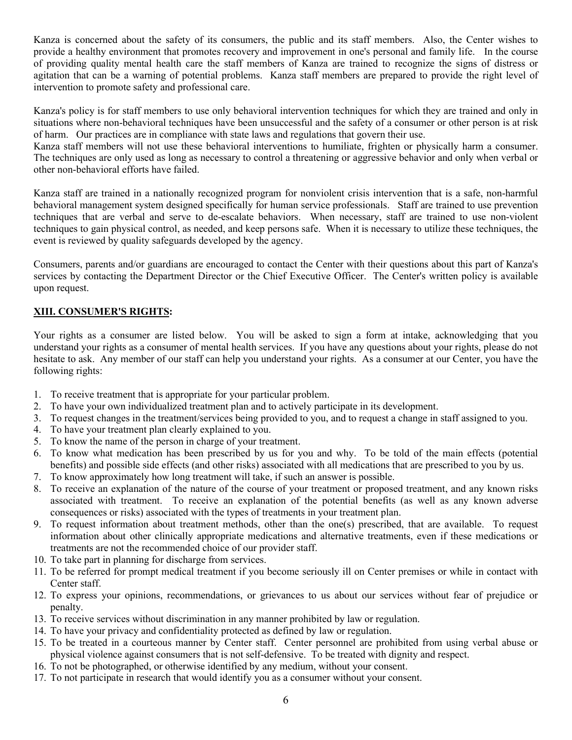Kanza is concerned about the safety of its consumers, the public and its staff members. Also, the Center wishes to provide a healthy environment that promotes recovery and improvement in one's personal and family life. In the course of providing quality mental health care the staff members of Kanza are trained to recognize the signs of distress or agitation that can be a warning of potential problems. Kanza staff members are prepared to provide the right level of intervention to promote safety and professional care.

Kanza's policy is for staff members to use only behavioral intervention techniques for which they are trained and only in situations where non-behavioral techniques have been unsuccessful and the safety of a consumer or other person is at risk of harm. Our practices are in compliance with state laws and regulations that govern their use.

Kanza staff members will not use these behavioral interventions to humiliate, frighten or physically harm a consumer. The techniques are only used as long as necessary to control a threatening or aggressive behavior and only when verbal or other non-behavioral efforts have failed.

Kanza staff are trained in a nationally recognized program for nonviolent crisis intervention that is a safe, non-harmful behavioral management system designed specifically for human service professionals. Staff are trained to use prevention techniques that are verbal and serve to de-escalate behaviors. When necessary, staff are trained to use non-violent techniques to gain physical control, as needed, and keep persons safe. When it is necessary to utilize these techniques, the event is reviewed by quality safeguards developed by the agency.

Consumers, parents and/or guardians are encouraged to contact the Center with their questions about this part of Kanza's services by contacting the Department Director or the Chief Executive Officer. The Center's written policy is available upon request.

## **XIII. CONSUMER'S RIGHTS:**

Your rights as a consumer are listed below. You will be asked to sign a form at intake, acknowledging that you understand your rights as a consumer of mental health services. If you have any questions about your rights, please do not hesitate to ask. Any member of our staff can help you understand your rights. As a consumer at our Center, you have the following rights:

- 1. To receive treatment that is appropriate for your particular problem.
- 2. To have your own individualized treatment plan and to actively participate in its development.
- 3. To request changes in the treatment/services being provided to you, and to request a change in staff assigned to you.
- 4. To have your treatment plan clearly explained to you.
- 5. To know the name of the person in charge of your treatment.
- 6. To know what medication has been prescribed by us for you and why. To be told of the main effects (potential benefits) and possible side effects (and other risks) associated with all medications that are prescribed to you by us.
- 7. To know approximately how long treatment will take, if such an answer is possible.
- 8. To receive an explanation of the nature of the course of your treatment or proposed treatment, and any known risks associated with treatment. To receive an explanation of the potential benefits (as well as any known adverse consequences or risks) associated with the types of treatments in your treatment plan.
- 9. To request information about treatment methods, other than the one(s) prescribed, that are available. To request information about other clinically appropriate medications and alternative treatments, even if these medications or treatments are not the recommended choice of our provider staff.
- 10. To take part in planning for discharge from services.
- 11. To be referred for prompt medical treatment if you become seriously ill on Center premises or while in contact with Center staff.
- 12. To express your opinions, recommendations, or grievances to us about our services without fear of prejudice or penalty.
- 13. To receive services without discrimination in any manner prohibited by law or regulation.
- 14. To have your privacy and confidentiality protected as defined by law or regulation.
- 15. To be treated in a courteous manner by Center staff. Center personnel are prohibited from using verbal abuse or physical violence against consumers that is not self-defensive. To be treated with dignity and respect.
- 16. To not be photographed, or otherwise identified by any medium, without your consent.
- 17. To not participate in research that would identify you as a consumer without your consent.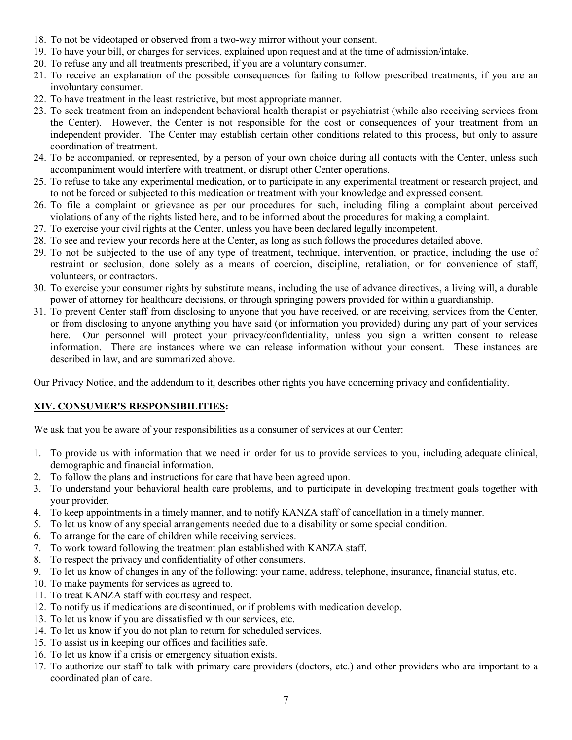- 18. To not be videotaped or observed from a two-way mirror without your consent.
- 19. To have your bill, or charges for services, explained upon request and at the time of admission/intake.
- 20. To refuse any and all treatments prescribed, if you are a voluntary consumer.
- 21. To receive an explanation of the possible consequences for failing to follow prescribed treatments, if you are an involuntary consumer.
- 22. To have treatment in the least restrictive, but most appropriate manner.
- 23. To seek treatment from an independent behavioral health therapist or psychiatrist (while also receiving services from the Center). However, the Center is not responsible for the cost or consequences of your treatment from an independent provider. The Center may establish certain other conditions related to this process, but only to assure coordination of treatment.
- 24. To be accompanied, or represented, by a person of your own choice during all contacts with the Center, unless such accompaniment would interfere with treatment, or disrupt other Center operations.
- 25. To refuse to take any experimental medication, or to participate in any experimental treatment or research project, and to not be forced or subjected to this medication or treatment with your knowledge and expressed consent.
- 26. To file a complaint or grievance as per our procedures for such, including filing a complaint about perceived violations of any of the rights listed here, and to be informed about the procedures for making a complaint.
- 27. To exercise your civil rights at the Center, unless you have been declared legally incompetent.
- 28. To see and review your records here at the Center, as long as such follows the procedures detailed above.
- 29. To not be subjected to the use of any type of treatment, technique, intervention, or practice, including the use of restraint or seclusion, done solely as a means of coercion, discipline, retaliation, or for convenience of staff, volunteers, or contractors.
- 30. To exercise your consumer rights by substitute means, including the use of advance directives, a living will, a durable power of attorney for healthcare decisions, or through springing powers provided for within a guardianship.
- 31. To prevent Center staff from disclosing to anyone that you have received, or are receiving, services from the Center, or from disclosing to anyone anything you have said (or information you provided) during any part of your services here. Our personnel will protect your privacy/confidentiality, unless you sign a written consent to release information. There are instances where we can release information without your consent. These instances are described in law, and are summarized above.

Our Privacy Notice, and the addendum to it, describes other rights you have concerning privacy and confidentiality.

## **XIV. CONSUMER'S RESPONSIBILITIES:**

We ask that you be aware of your responsibilities as a consumer of services at our Center:

- 1. To provide us with information that we need in order for us to provide services to you, including adequate clinical, demographic and financial information.
- 2. To follow the plans and instructions for care that have been agreed upon.
- 3. To understand your behavioral health care problems, and to participate in developing treatment goals together with your provider.
- 4. To keep appointments in a timely manner, and to notify KANZA staff of cancellation in a timely manner.
- 5. To let us know of any special arrangements needed due to a disability or some special condition.
- 6. To arrange for the care of children while receiving services.
- 7. To work toward following the treatment plan established with KANZA staff.
- 8. To respect the privacy and confidentiality of other consumers.
- 9. To let us know of changes in any of the following: your name, address, telephone, insurance, financial status, etc.
- 10. To make payments for services as agreed to.
- 11. To treat KANZA staff with courtesy and respect.
- 12. To notify us if medications are discontinued, or if problems with medication develop.
- 13. To let us know if you are dissatisfied with our services, etc.
- 14. To let us know if you do not plan to return for scheduled services.
- 15. To assist us in keeping our offices and facilities safe.
- 16. To let us know if a crisis or emergency situation exists.
- 17. To authorize our staff to talk with primary care providers (doctors, etc.) and other providers who are important to a coordinated plan of care.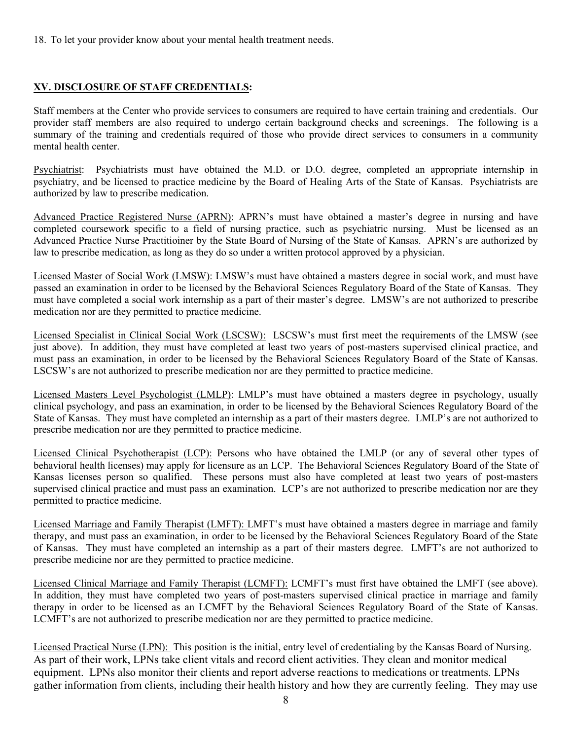18. To let your provider know about your mental health treatment needs.

## **XV. DISCLOSURE OF STAFF CREDENTIALS:**

Staff members at the Center who provide services to consumers are required to have certain training and credentials. Our provider staff members are also required to undergo certain background checks and screenings.The following is a summary of the training and credentials required of those who provide direct services to consumers in a community mental health center.

Psychiatrist: Psychiatrists must have obtained the M.D. or D.O. degree, completed an appropriate internship in psychiatry, and be licensed to practice medicine by the Board of Healing Arts of the State of Kansas. Psychiatrists are authorized by law to prescribe medication.

Advanced Practice Registered Nurse (APRN): APRN's must have obtained a master's degree in nursing and have completed coursework specific to a field of nursing practice, such as psychiatric nursing. Must be licensed as an Advanced Practice Nurse Practitioiner by the State Board of Nursing of the State of Kansas. APRN's are authorized by law to prescribe medication, as long as they do so under a written protocol approved by a physician.

Licensed Master of Social Work (LMSW): LMSW's must have obtained a masters degree in social work, and must have passed an examination in order to be licensed by the Behavioral Sciences Regulatory Board of the State of Kansas. They must have completed a social work internship as a part of their master's degree. LMSW's are not authorized to prescribe medication nor are they permitted to practice medicine.

Licensed Specialist in Clinical Social Work (LSCSW): LSCSW's must first meet the requirements of the LMSW (see just above). In addition, they must have completed at least two years of post-masters supervised clinical practice, and must pass an examination, in order to be licensed by the Behavioral Sciences Regulatory Board of the State of Kansas. LSCSW's are not authorized to prescribe medication nor are they permitted to practice medicine.

Licensed Masters Level Psychologist (LMLP): LMLP's must have obtained a masters degree in psychology, usually clinical psychology, and pass an examination, in order to be licensed by the Behavioral Sciences Regulatory Board of the State of Kansas. They must have completed an internship as a part of their masters degree. LMLP's are not authorized to prescribe medication nor are they permitted to practice medicine.

Licensed Clinical Psychotherapist (LCP): Persons who have obtained the LMLP (or any of several other types of behavioral health licenses) may apply for licensure as an LCP. The Behavioral Sciences Regulatory Board of the State of Kansas licenses person so qualified. These persons must also have completed at least two years of post-masters supervised clinical practice and must pass an examination. LCP's are not authorized to prescribe medication nor are they permitted to practice medicine.

Licensed Marriage and Family Therapist (LMFT): LMFT's must have obtained a masters degree in marriage and family therapy, and must pass an examination, in order to be licensed by the Behavioral Sciences Regulatory Board of the State of Kansas. They must have completed an internship as a part of their masters degree. LMFT's are not authorized to prescribe medicine nor are they permitted to practice medicine.

Licensed Clinical Marriage and Family Therapist (LCMFT): LCMFT's must first have obtained the LMFT (see above). In addition, they must have completed two years of post-masters supervised clinical practice in marriage and family therapy in order to be licensed as an LCMFT by the Behavioral Sciences Regulatory Board of the State of Kansas. LCMFT's are not authorized to prescribe medication nor are they permitted to practice medicine.

Licensed Practical Nurse (LPN): This position is the initial, entry level of credentialing by the Kansas Board of Nursing. As part of their work, LPNs take client vitals and record client activities. They clean and monitor [medical](http://en.wikipedia.org/wiki/Medical_equipment)  [equipment.](http://en.wikipedia.org/wiki/Medical_equipment) LPNs also monitor their clients and report [adverse reactions](http://en.wikipedia.org/wiki/Adverse_effect) to medications or treatments. LPNs gather information from clients, including their [health history](http://en.wikipedia.org/wiki/Medical_history) and how they are currently feeling. They may use